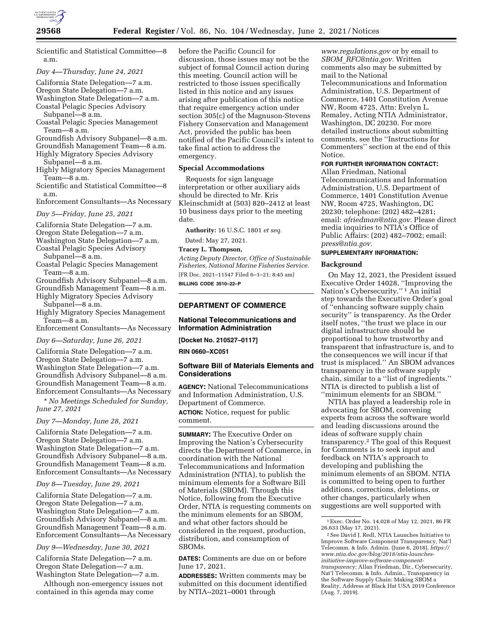

Scientific and Statistical Committee—8 a.m.

*Day 4—Thursday, June 24, 2021* 

California State Delegation—7 a.m.

Oregon State Delegation—7 a.m.

Washington State Delegation—7 a.m. Coastal Pelagic Species Advisory

Subpanel—8 a.m.

Coastal Pelagic Species Management Team—8 a.m.

Groundfish Advisory Subpanel—8 a.m.

Groundfish Management Team—8 a.m.

Highly Migratory Species Advisory

- Subpanel—8 a.m. Highly Migratory Species Management
- Team—8 a.m. Scientific and Statistical Committee—8 a.m.

Enforcement Consultants—As Necessary

*Day 5—Friday, June 25, 2021* 

California State Delegation—7 a.m.

Oregon State Delegation—7 a.m.

Washington State Delegation—7 a.m.

Coastal Pelagic Species Advisory Subpanel—8 a.m.

Coastal Pelagic Species Management Team—8 a.m.

- Groundfish Advisory Subpanel—8 a.m.
- Groundfish Management Team—8 a.m.

Highly Migratory Species Advisory Subpanel—8 a.m.

Highly Migratory Species Management Team—8 a.m.

Enforcement Consultants—As Necessary

*Day 6—Saturday, June 26, 2021* 

California State Delegation—7 a.m. Oregon State Delegation—7 a.m. Washington State Delegation—7 a.m. Groundfish Advisory Subpanel—8 a.m. Groundfish Management Team—8 a.m. Enforcement Consultants—As Necessary

\* *No Meetings Scheduled for Sunday, June 27, 2021* 

#### *Day 7—Monday, June 28, 2021*

California State Delegation—7 a.m. Oregon State Delegation—7 a.m. Washington State Delegation—7 a.m. Groundfish Advisory Subpanel—8 a.m. Groundfish Management Team—8 a.m. Enforcement Consultants—As Necessary

*Day 8—Tuesday, June 29, 2021* 

California State Delegation—7 a.m. Oregon State Delegation—7 a.m. Washington State Delegation—7 a.m. Groundfish Advisory Subpanel—8 a.m. Groundfish Management Team—8 a.m. Enforcement Consultants—As Necessary

*Day 9—Wednesday, June 30, 2021* 

California State Delegation—7 a.m. Oregon State Delegation—7 a.m. Washington State Delegation—7 a.m.

Although non-emergency issues not contained in this agenda may come

before the Pacific Council for discussion, those issues may not be the subject of formal Council action during this meeting. Council action will be restricted to those issues specifically listed in this notice and any issues arising after publication of this notice that require emergency action under section 305(c) of the Magnuson-Stevens Fishery Conservation and Management Act, provided the public has been notified of the Pacific Council's intent to take final action to address the emergency.

### **Special Accommodations**

Requests for sign language interpretation or other auxiliary aids should be directed to Mr. Kris Kleinschmidt at (503) 820–2412 at least 10 business days prior to the meeting date.

**Authority:** 16 U.S.C. 1801 *et seq.* 

Dated: May 27, 2021.

#### **Tracey L. Thompson,**

*Acting Deputy Director, Office of Sustainable Fisheries, National Marine Fisheries Service.*  [FR Doc. 2021–11547 Filed 6–1–21; 8:45 am] **BILLING CODE 3510–22–P** 

### **DEPARTMENT OF COMMERCE**

#### **National Telecommunications and Information Administration**

**[Docket No. 210527–0117]** 

#### **RIN 0660–XC051**

# **Software Bill of Materials Elements and Considerations**

**AGENCY:** National Telecommunications and Information Administration, U.S. Department of Commerce.

**ACTION:** Notice, request for public comment.

**SUMMARY:** The Executive Order on Improving the Nation's Cybersecurity directs the Department of Commerce, in coordination with the National Telecommunications and Information Administration (NTIA), to publish the minimum elements for a Software Bill of Materials (SBOM). Through this Notice, following from the Executive Order, NTIA is requesting comments on the minimum elements for an SBOM, and what other factors should be considered in the request, production, distribution, and consumption of SBOMs.

**DATES:** Comments are due on or before June 17, 2021.

**ADDRESSES:** Written comments may be submitted on this document identified by NTIA–2021–0001 through

*[www.regulations.gov](http://www.regulations.gov)* or by email to *SBOM*\_*[RFC@ntia.gov.](mailto:SBOM_RFC@ntia.gov)* Written comments also may be submitted by mail to the National Telecommunications and Information Administration, U.S. Department of Commerce, 1401 Constitution Avenue NW, Room 4725, Attn: Evelyn L. Remaley, Acting NTIA Administrator, Washington, DC 20230. For more detailed instructions about submitting comments, see the ''Instructions for Commenters'' section at the end of this Notice.

# **FOR FURTHER INFORMATION CONTACT:**

Allan Friedman, National Telecommunications and Information Administration, U.S. Department of Commerce, 1401 Constitution Avenue NW, Room 4725, Washington, DC 20230; telephone: (202) 482–4281; email: *[afriedman@ntia.gov.](mailto:afriedman@ntia.gov)* Please direct media inquiries to NTIA's Office of Public Affairs: (202) 482–7002; email: *[press@ntia.gov.](mailto:press@ntia.gov)* 

#### **SUPPLEMENTARY INFORMATION:**

#### **Background**

On May 12, 2021, the President issued Executive Order 14028, ''Improving the Nation's Cybersecurity.'' 1 An initial step towards the Executive Order's goal of ''enhancing software supply chain security'' is transparency. As the Order itself notes, ''the trust we place in our digital infrastructure should be proportional to how trustworthy and transparent that infrastructure is, and to the consequences we will incur if that trust is misplaced.'' An SBOM advances transparency in the software supply chain, similar to a ''list of ingredients.'' NTIA is directed to publish a list of ''minimum elements for an SBOM.''

NTIA has played a leadership role in advocating for SBOM, convening experts from across the software world and leading discussions around the ideas of software supply chain transparency.2 The goal of this Request for Comments is to seek input and feedback on NTIA's approach to developing and publishing the minimum elements of an SBOM. NTIA is committed to being open to further additions, corrections, deletions, or other changes, particularly when suggestions are well supported with

<sup>1</sup>Exec. Order No. 14,028 of May 12, 2021, 86 FR 26,633 (May 17, 2021).

<sup>2</sup>See David J. Redl, NTIA Launches Initiative to Improve Software Component Transparency, Nat'l Telecomm. & Info. Admin. (June 6, 2018), *[https://](https://www.ntia.doc.gov/blog/2018/ntia-launches-initiative-improve-software-component-transparency)  [www.ntia.doc.gov/blog/2018/ntia-launches](https://www.ntia.doc.gov/blog/2018/ntia-launches-initiative-improve-software-component-transparency)[initiative-improve-software-component](https://www.ntia.doc.gov/blog/2018/ntia-launches-initiative-improve-software-component-transparency)[transparency;](https://www.ntia.doc.gov/blog/2018/ntia-launches-initiative-improve-software-component-transparency)* Allan Friedman, Dir., Cybersecurity, Nat'l Telecomm. & Info. Admin., Transparency in the Software Supply Chain: Making SBOM a Reality, Address at Black Hat USA 2019 Conference (Aug. 7, 2019).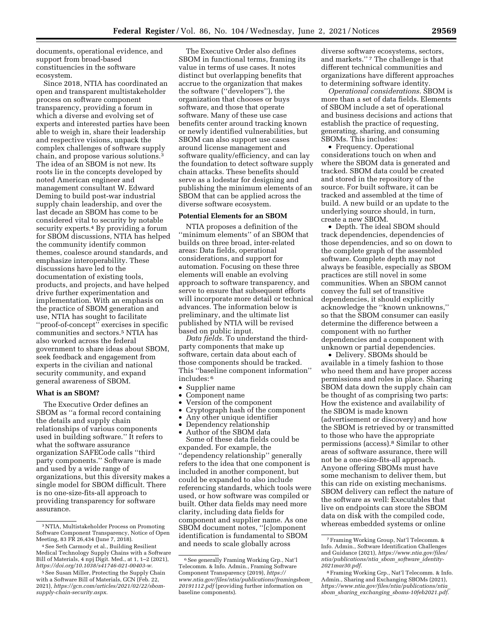documents, operational evidence, and support from broad-based constituencies in the software ecosystem.

Since 2018, NTIA has coordinated an open and transparent multistakeholder process on software component transparency, providing a forum in which a diverse and evolving set of experts and interested parties have been able to weigh in, share their leadership and respective visions, unpack the complex challenges of software supply chain, and propose various solutions.3 The idea of an SBOM is not new. Its roots lie in the concepts developed by noted American engineer and management consultant W. Edward Deming to build post-war industrial supply chain leadership, and over the last decade an SBOM has come to be considered vital to security by notable security experts.<sup>4</sup> By providing a forum for SBOM discussions, NTIA has helped the community identify common themes, coalesce around standards, and emphasize interoperability. These discussions have led to the documentation of existing tools, products, and projects, and have helped drive further experimentation and implementation. With an emphasis on the practice of SBOM generation and use, NTIA has sought to facilitate ''proof-of-concept'' exercises in specific communities and sectors.5 NTIA has also worked across the federal government to share ideas about SBOM, seek feedback and engagement from experts in the civilian and national security community, and expand general awareness of SBOM.

### **What is an SBOM?**

The Executive Order defines an SBOM as ''a formal record containing the details and supply chain relationships of various components used in building software.'' It refers to what the software assurance organization SAFECode calls ''third party components.'' Software is made and used by a wide range of organizations, but this diversity makes a single model for SBOM difficult. There is no one-size-fits-all approach to providing transparency for software assurance.

The Executive Order also defines SBOM in functional terms, framing its value in terms of use cases. It notes distinct but overlapping benefits that accrue to the organization that makes the software (''developers''), the organization that chooses or buys software, and those that operate software. Many of these use case benefits center around tracking known or newly identified vulnerabilities, but SBOM can also support use cases around license management and software quality/efficiency, and can lay the foundation to detect software supply chain attacks. These benefits should serve as a lodestar for designing and publishing the minimum elements of an SBOM that can be applied across the diverse software ecosystem.

### **Potential Elements for an SBOM**

NTIA proposes a definition of the ''minimum elements'' of an SBOM that builds on three broad, inter-related areas: Data fields, operational considerations, and support for automation. Focusing on these three elements will enable an evolving approach to software transparency, and serve to ensure that subsequent efforts will incorporate more detail or technical advances. The information below is preliminary, and the ultimate list published by NTIA will be revised based on public input.

*Data fields.* To understand the thirdparty components that make up software, certain data about each of those components should be tracked. This ''baseline component information'' includes: 6

- Supplier name
- Component name
- Version of the component
- Cryptograph hash of the component
- Any other unique identifier
- Dependency relationship

• Author of the SBOM data Some of these data fields could be expanded. For example, the ''dependency relationship'' generally refers to the idea that one component is included in another component, but could be expanded to also include referencing standards, which tools were used, or how software was compiled or built. Other data fields may need more clarity, including data fields for component and supplier name. As one SBOM document notes, ''[c]omponent identification is fundamental to SBOM and needs to scale globally across

diverse software ecosystems, sectors, and markets.'' 7 The challenge is that different technical communities and organizations have different approaches to determining software identity.

*Operational considerations.* SBOM is more than a set of data fields. Elements of SBOM include a set of operational and business decisions and actions that establish the practice of requesting, generating, sharing, and consuming SBOMs. This includes:

• Frequency. Operational considerations touch on when and where the SBOM data is generated and tracked. SBOM data could be created and stored in the repository of the source. For built software, it can be tracked and assembled at the time of build. A new build or an update to the underlying source should, in turn, create a new SBOM.

• Depth. The ideal SBOM should track dependencies, dependencies of those dependencies, and so on down to the complete graph of the assembled software. Complete depth may not always be feasible, especially as SBOM practices are still novel in some communities. When an SBOM cannot convey the full set of transitive dependencies, it should explicitly acknowledge the ''known unknowns,'' so that the SBOM consumer can easily determine the difference between a component with no further dependencies and a component with unknown or partial dependencies.

• Delivery. SBOMs should be available in a timely fashion to those who need them and have proper access permissions and roles in place. Sharing SBOM data down the supply chain can be thought of as comprising two parts: How the existence and availability of the SBOM is made known (advertisement or discovery) and how the SBOM is retrieved by or transmitted to those who have the appropriate permissions (access).8 Similar to other areas of software assurance, there will not be a one-size-fits-all approach. Anyone offering SBOMs must have some mechanism to deliver them, but this can ride on existing mechanisms. SBOM delivery can reflect the nature of the software as well: Executables that live on endpoints can store the SBOM data on disk with the compiled code, whereas embedded systems or online

<sup>3</sup>NTIA, Multistakeholder Process on Promoting Software Component Transparency, Notice of Open Meeting, 83 FR 26,434 (June 7, 2018).

<sup>4</sup>See Seth Carmody et al., Building Resilient Medical Technology Supply Chains with a Software Bill of Materials, 4 npj Digit. Med., at 1, 1–2 (2021), *[https://doi.org/10.1038/s41746-021-00403-w.](https://doi.org/10.1038/s41746-021-00403-w)* 

<sup>&</sup>lt;sup>5</sup> See Susan Miller, Protecting the Supply Chain with a Software Bill of Materials, GCN (Feb. 22, 2021), *[https://gcn.com/articles/2021/02/22/sbom](https://gcn.com/articles/2021/02/22/sbom-supply-chain-security.aspx)[supply-chain-security.aspx.](https://gcn.com/articles/2021/02/22/sbom-supply-chain-security.aspx)* 

<sup>6</sup>See generally Framing Working Grp., Nat'l Telecomm. & Info. Admin., Framing Software Component Transparency (2019), *[https://](https://www.ntia.gov/files/ntia/publications/framingsbom_20191112.pdf) [www.ntia.gov/files/ntia/publications/framingsbom](https://www.ntia.gov/files/ntia/publications/framingsbom_20191112.pdf)*\_ *[20191112.pdf](https://www.ntia.gov/files/ntia/publications/framingsbom_20191112.pdf)* (providing further information on baseline components).

<sup>7</sup>Framing Working Group, Nat'l Telecomm. & Info. Admin., Software Identification Challenges and Guidance (2021), *[https://www.ntia.gov/files/](https://www.ntia.gov/files/ntia/publications/ntia_sbom_software_identity-2021mar30.pdf)  [ntia/publications/ntia](https://www.ntia.gov/files/ntia/publications/ntia_sbom_software_identity-2021mar30.pdf)*\_*sbom*\_*software*\_*identity-[2021mar30.pdf.](https://www.ntia.gov/files/ntia/publications/ntia_sbom_software_identity-2021mar30.pdf)* 

<sup>8</sup>Framing Working Grp., Nat'l Telecomm. & Info. Admin., Sharing and Exchanging SBOMs (2021), *[https://www.ntia.gov/files/ntia/publications/ntia](https://www.ntia.gov/files/ntia/publications/ntia_sbom_sharing_exchanging_sboms-10feb2021.pdf)*\_ *sbom*\_*sharing*\_*exchanging*\_*[sboms-10feb2021.pdf.](https://www.ntia.gov/files/ntia/publications/ntia_sbom_sharing_exchanging_sboms-10feb2021.pdf)*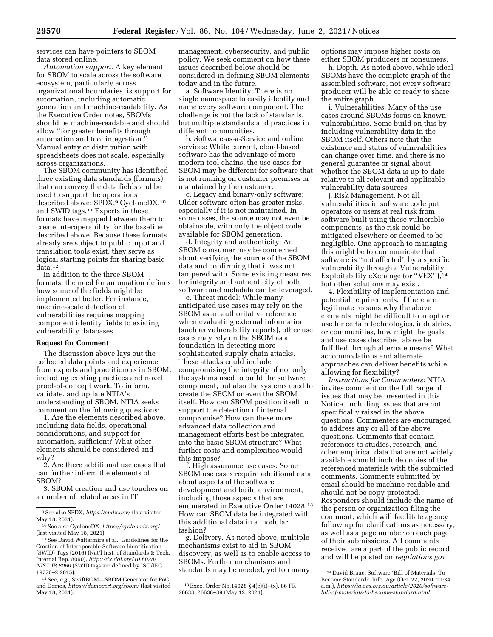services can have pointers to SBOM data stored online.

*Automation support.* A key element for SBOM to scale across the software ecosystem, particularly across organizational boundaries, is support for automation, including automatic generation and machine-readability. As the Executive Order notes, SBOMs should be machine-readable and should allow ''for greater benefits through automation and tool integration.'' Manual entry or distribution with spreadsheets does not scale, especially across organizations.

The SBOM community has identified three existing data standards (formats) that can convey the data fields and be used to support the operations described above: SPDX,<sup>9</sup> CycloneDX,<sup>10</sup> and SWID tags.11 Experts in these formats have mapped between them to create interoperability for the baseline described above. Because these formats already are subject to public input and translation tools exist, they serve as logical starting points for sharing basic data.12

In addition to the three SBOM formats, the need for automation defines how some of the fields might be implemented better. For instance, machine-scale detection of vulnerabilities requires mapping component identity fields to existing vulnerability databases.

#### **Request for Comment**

The discussion above lays out the collected data points and experience from experts and practitioners in SBOM, including existing practices and novel proof-of-concept work. To inform, validate, and update NTIA's understanding of SBOM, NTIA seeks comment on the following questions:

1. Are the elements described above, including data fields, operational considerations, and support for automation, sufficient? What other elements should be considered and why?

2. Are there additional use cases that can further inform the elements of SBOM?

3. SBOM creation and use touches on a number of related areas in IT

11See David Waltermire et al., Guidelines for the Creation of Interoperable Software Identification (SWID) Tags (2016) (Nat'l Inst. of Standards & Tech. Internal Rep. 8060), *[http://dx.doi.org/10.6028/](http://dx.doi.org/10.6028/NIST.IR.8060) [NIST.IR.8060](http://dx.doi.org/10.6028/NIST.IR.8060)* (SWID tags are defined by ISO/IEC 19770–2:2015).

12See, *e.g.,* SwiftBOM—SBOM Generator for PoC and Demos, *<https://democert.org/sbom/>*(last visited May 18, 2021).

management, cybersecurity, and public policy. We seek comment on how these issues described below should be considered in defining SBOM elements today and in the future.

a. Software Identity: There is no single namespace to easily identify and name every software component. The challenge is not the lack of standards, but multiple standards and practices in different communities.

b. Software-as-a-Service and online services: While current, cloud-based software has the advantage of more modern tool chains, the use cases for SBOM may be different for software that is not running on customer premises or maintained by the customer.

c. Legacy and binary-only software: Older software often has greater risks, especially if it is not maintained. In some cases, the source may not even be obtainable, with only the object code available for SBOM generation.

d. Integrity and authenticity: An SBOM consumer may be concerned about verifying the source of the SBOM data and confirming that it was not tampered with. Some existing measures for integrity and authenticity of both software and metadata can be leveraged.

e. Threat model: While many anticipated use cases may rely on the SBOM as an authoritative reference when evaluating external information (such as vulnerability reports), other use cases may rely on the SBOM as a foundation in detecting more sophisticated supply chain attacks. These attacks could include compromising the integrity of not only the systems used to build the software component, but also the systems used to create the SBOM or even the SBOM itself. How can SBOM position itself to support the detection of internal compromise? How can these more advanced data collection and management efforts best be integrated into the basic SBOM structure? What further costs and complexities would this impose?

f. High assurance use cases: Some SBOM use cases require additional data about aspects of the software development and build environment, including those aspects that are enumerated in Executive Order 14028.13 How can SBOM data be integrated with this additional data in a modular fashion?

g. Delivery. As noted above, multiple mechanisms exist to aid in SBOM discovery, as well as to enable access to SBOMs. Further mechanisms and standards may be needed, yet too many

options may impose higher costs on either SBOM producers or consumers.

h. Depth. As noted above, while ideal SBOMs have the complete graph of the assembled software, not every software producer will be able or ready to share the entire graph.

i. Vulnerabilities. Many of the use cases around SBOMs focus on known vulnerabilities. Some build on this by including vulnerability data in the SBOM itself. Others note that the existence and status of vulnerabilities can change over time, and there is no general guarantee or signal about whether the SBOM data is up-to-date relative to all relevant and applicable vulnerability data sources.

j. Risk Management. Not all vulnerabilities in software code put operators or users at real risk from software built using those vulnerable components, as the risk could be mitigated elsewhere or deemed to be negligible. One approach to managing this might be to communicate that software is ''not affected'' by a specific vulnerability through a Vulnerability Exploitability eXchange (or "VEX"),<sup>14</sup> but other solutions may exist.

4. Flexibility of implementation and potential requirements. If there are legitimate reasons why the above elements might be difficult to adopt or use for certain technologies, industries, or communities, how might the goals and use cases described above be fulfilled through alternate means? What accommodations and alternate approaches can deliver benefits while allowing for flexibility?

*Instructions for Commenters:* NTIA invites comment on the full range of issues that may be presented in this Notice, including issues that are not specifically raised in the above questions. Commenters are encouraged to address any or all of the above questions. Comments that contain references to studies, research, and other empirical data that are not widely available should include copies of the referenced materials with the submitted comments. Comments submitted by email should be machine-readable and should not be copy-protected. Responders should include the name of the person or organization filing the comment, which will facilitate agency follow up for clarifications as necessary, as well as a page number on each page of their submissions. All comments received are a part of the public record and will be posted on *regulations.gov* 

<sup>9</sup>See also SPDX, *<https://spdx.dev/>* (last visited May 18, 2021).

<sup>10</sup>See also CycloneDX, *<https://cyclonedx.org/>*  (last visited May 18, 2021).

<sup>13</sup>Exec. Order No.14028 § 4(e)(i)–(x), 86 FR 26633, 26638–39 (May 12, 2021).

<sup>14</sup> David Braue, Software 'Bill of Materials' To Become Standard?, Info. Age (Oct. 22, 2020, 11:34 a.m.), *[https://ia.acs.org.au/article/2020/software](https://ia.acs.org.au/article/2020/software-bill-of-materials-to-become-standard.html)[bill-of-materials-to-become-standard.html.](https://ia.acs.org.au/article/2020/software-bill-of-materials-to-become-standard.html)*